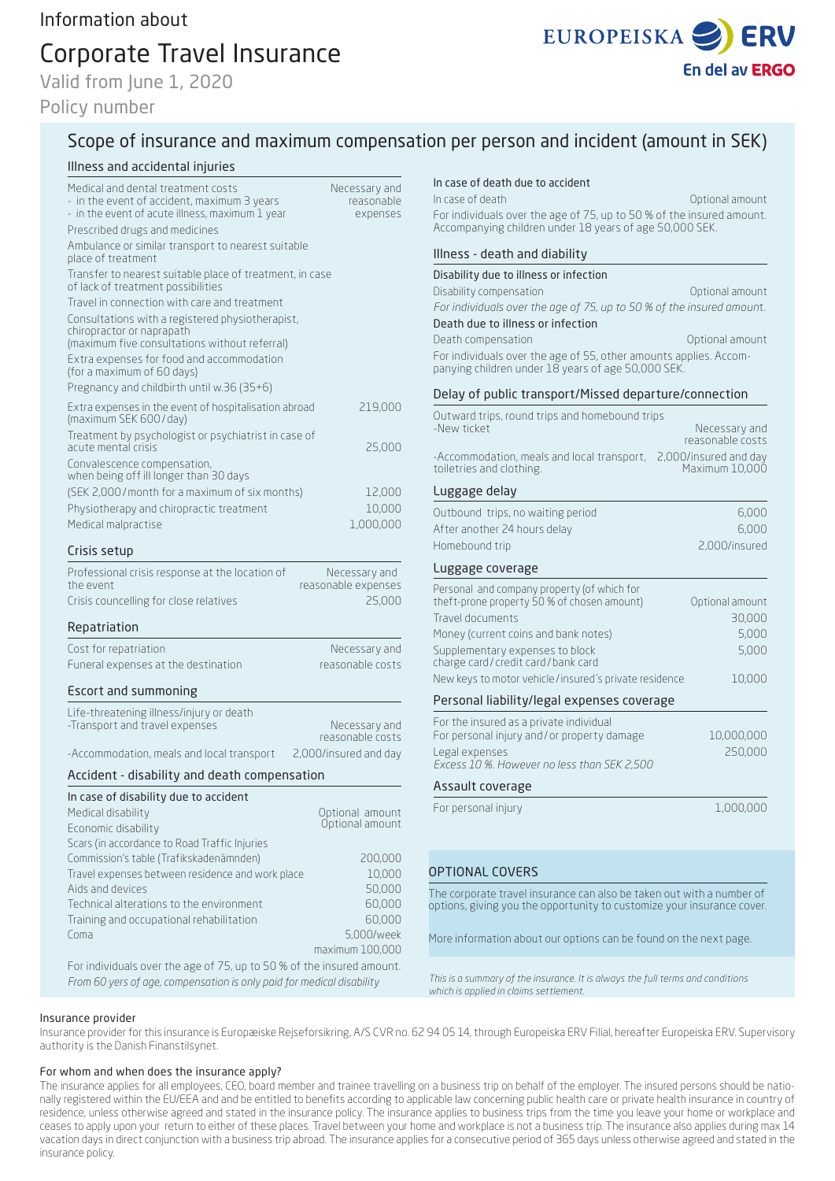# Corporate Travel Insurance

Valid from June 1, 2020

## Policy number



# Scope of insurance and maximum compensation per person and incident (amount in SEK)

### Illness and accidental injuries

| Medical and dental treatment costs<br>- in the event of accident, maximum 3 years<br>- in the event of acute illness, maximum 1 year           | Necessary and<br>reasonable<br>expenses |
|------------------------------------------------------------------------------------------------------------------------------------------------|-----------------------------------------|
| Prescribed drugs and medicines                                                                                                                 |                                         |
| Ambulance or similar transport to nearest suitable<br>place of treatment                                                                       |                                         |
| Transfer to nearest suitable place of treatment, in case<br>of lack of treatment possibilities                                                 |                                         |
| Travel in connection with care and treatment                                                                                                   |                                         |
| Consultations with a registered physiotherapist,<br>chiropractor or naprapath<br>(maximum five consultations without referral)                 |                                         |
| Extra expenses for food and accommodation<br>(for a maximum of 60 days)                                                                        |                                         |
| Pregnancy and childbirth until w.36 (35+6)                                                                                                     |                                         |
| Extra expenses in the event of hospitalisation abroad<br>(maximum SEK 600/day)                                                                 | 219,000                                 |
| Treatment by psychologist or psychiatrist in case of<br>acute mental crisis                                                                    | 25,000                                  |
| Convalescence compensation,<br>when being off ill longer than 30 days                                                                          |                                         |
| (SEK 2,000/month for a maximum of six months)                                                                                                  | 12,000                                  |
| Physiotherapy and chiropractic treatment                                                                                                       | 10,000                                  |
| Medical malpractise                                                                                                                            | 1,000,000                               |
| Crisis setup                                                                                                                                   |                                         |
| Professional crisis response at the location of<br>the event                                                                                   | Necessary and<br>reasonable expenses    |
| Crisis councelling for close relatives                                                                                                         | 25,000                                  |
| Repatriation                                                                                                                                   |                                         |
| Cost for repatriation                                                                                                                          | Necessary and                           |
| Funeral expenses at the destination                                                                                                            | reasonable costs                        |
| Escort and summoning                                                                                                                           |                                         |
| Life-threatening illness/injury or death                                                                                                       |                                         |
| -Transport and travel expenses                                                                                                                 | Necessary and<br>reasonable costs       |
| -Accommodation, meals and local transport                                                                                                      | 2,000/insured and day                   |
| Accident - disability and death compensation                                                                                                   |                                         |
| In case of disability due to accident                                                                                                          |                                         |
| Medical disability                                                                                                                             | Optional amount<br>Optional amount      |
| Economic disability                                                                                                                            |                                         |
| Scars (in accordance to Road Traffic Injuries<br>Commission's table (Trafikskadenämnden)                                                       | 200,000                                 |
| Travel expenses between residence and work place                                                                                               | 10,000                                  |
| Aids and devices                                                                                                                               | 50,000                                  |
| Technical alterations to the environment                                                                                                       | 60,000                                  |
| Training and occupational rehabilitation                                                                                                       | 60,000                                  |
| Coma                                                                                                                                           | 5,000/week                              |
|                                                                                                                                                | maximum 100,000                         |
| For individuals over the age of 75, up to 50 % of the insured amount.<br>From 60 yers of age, compensation is only paid for medical disability |                                         |

#### In case of death due to accident

| In case of death                                                                                                                 | Optional amount |
|----------------------------------------------------------------------------------------------------------------------------------|-----------------|
| For individuals over the age of 75, up to 50 % of the insured amount.<br>Accompanying children under 18 years of age 50,000 SEK. |                 |

#### Illness - death and diability

#### Disability due to illness or infection

Disability compensation **Disability** compensation *For individuals over the age of 75, up to 50 % of the insured amoun*t.

Death due to illness or infection

Death compensation and a compensation of the Contract of Contract amount

For individuals over the age of 55, other amounts applies. Accompanying children under 18 years of age 50,000 SEK.

#### Delay of public transport/Missed departure/connection

| Outward trips, round trips and homebound trips<br>-New ticket                              | Necessary and                           |
|--------------------------------------------------------------------------------------------|-----------------------------------------|
|                                                                                            | reasonable costs                        |
| -Accommodation, meals and local transport,<br>toiletries and clothing.                     | 2,000/insured and day<br>Maximum 10,000 |
| Luggage delay                                                                              |                                         |
| Outbound trips, no waiting period                                                          | 6,000                                   |
| After another 24 hours delay                                                               | 6,000                                   |
| Homebound trip                                                                             | 2,000/insured                           |
| Luggage coverage                                                                           |                                         |
| Personal and company property (of which for                                                |                                         |
| theft-prone property 50 % of chosen amount)<br>Travel documents                            | Optional amount<br>30,000               |
| Money (current coins and bank notes)                                                       | 5,000                                   |
| Supplementary expenses to block                                                            | 5,000                                   |
| charge card/credit card/bank card<br>New keys to motor vehicle/insured's private residence | 10,000                                  |
|                                                                                            |                                         |
| Personal liability/legal expenses coverage                                                 |                                         |
| For the insured as a private individual<br>For personal injury and/or property damage      | 10,000,000                              |
| Legal expenses                                                                             | 250,000                                 |
| Excess 10 %. However no less than SEK 2.500                                                |                                         |
| Assault coverage                                                                           |                                         |
|                                                                                            |                                         |

#### OPTIONAL COVERS

The corporate travel insurance can also be taken out with a number of options, giving you the opportunity to customize your insurance cover.

More information about our options can be found on the next page.

*This is a summary of the insurance. It is always the full terms and conditions which is applied in claims settlement.*

#### Insurance provider

Insurance provider for this insurance is Europæiske Rejseforsikring, A/S CVR no. 62 94 05 14, through Europeiska ERV Filial, hereafter Europeiska ERV. Supervisory authority is the Danish Finanstilsynet.

#### For whom and when does the insurance apply?

The insurance applies for all employees, CEO, board member and trainee travelling on a business trip on behalf of the employer. The insured persons should be nationally registered within the EU/EEA and and be entitled to benefits according to applicable law concerning public health care or private health insurance in country of residence, unless otherwise agreed and stated in the insurance policy. The insurance applies to business trips from the time you leave your home or workplace and ceases to apply upon your return to either of these places. Travel between your home and workplace is not a business trip. The insurance also applies during max 14 vacation days in direct conjunction with a business trip abroad. The insurance applies for a consecutive period of 365 days unless otherwise agreed and stated in the insurance policy.